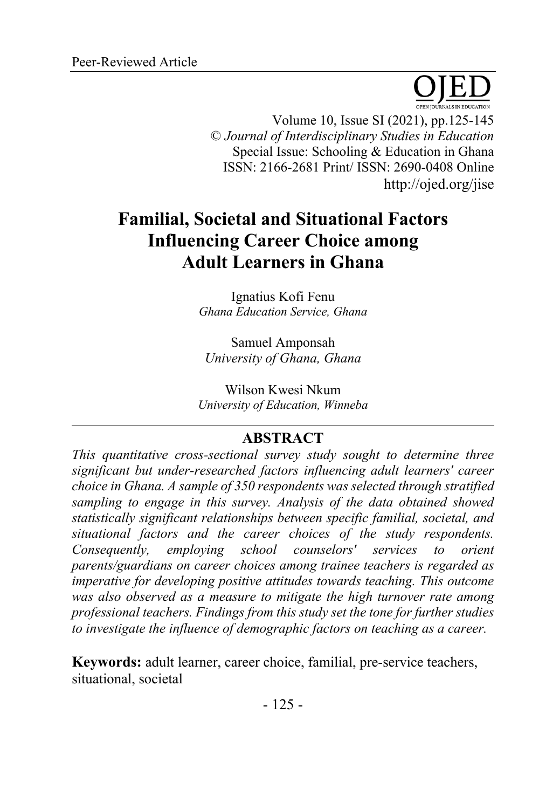Volume 10, Issue SI (2021), pp.125-145 © *Journal of Interdisciplinary Studies in Education* Special Issue: Schooling & Education in Ghana ISSN: 2166-2681 Print/ ISSN: 2690-0408 Online http://ojed.org/jise

# **Familial, Societal and Situational Factors Influencing Career Choice among Adult Learners in Ghana**

Ignatius Kofi Fenu *Ghana Education Service, Ghana*

Samuel Amponsah *University of Ghana, Ghana*

Wilson Kwesi Nkum *University of Education, Winneba*

# **ABSTRACT**

*This quantitative cross-sectional survey study sought to determine three significant but under-researched factors influencing adult learners' career choice in Ghana. A sample of 350 respondents was selected through stratified sampling to engage in this survey. Analysis of the data obtained showed statistically significant relationships between specific familial, societal, and situational factors and the career choices of the study respondents. Consequently, employing school counselors' services to orient parents/guardians on career choices among trainee teachers is regarded as imperative for developing positive attitudes towards teaching. This outcome was also observed as a measure to mitigate the high turnover rate among professional teachers. Findings from this study set the tone for further studies to investigate the influence of demographic factors on teaching as a career.*

**Keywords:** adult learner, career choice, familial, pre-service teachers, situational, societal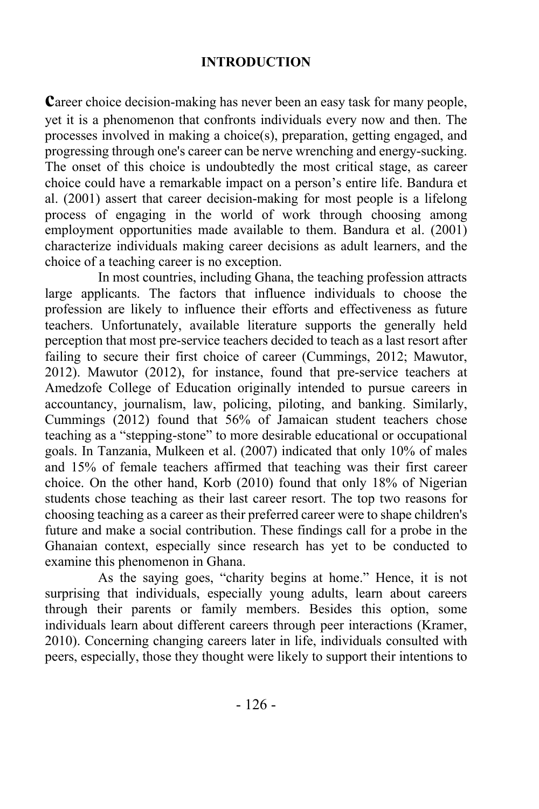### **INTRODUCTION**

**Career choice decision-making has never been an easy task for many people,** yet it is a phenomenon that confronts individuals every now and then. The processes involved in making a choice(s), preparation, getting engaged, and progressing through one's career can be nerve wrenching and energy-sucking. The onset of this choice is undoubtedly the most critical stage, as career choice could have a remarkable impact on a person's entire life. Bandura et al. (2001) assert that career decision-making for most people is a lifelong process of engaging in the world of work through choosing among employment opportunities made available to them. Bandura et al. (2001) characterize individuals making career decisions as adult learners, and the choice of a teaching career is no exception.

In most countries, including Ghana, the teaching profession attracts large applicants. The factors that influence individuals to choose the profession are likely to influence their efforts and effectiveness as future teachers. Unfortunately, available literature supports the generally held perception that most pre-service teachers decided to teach as a last resort after failing to secure their first choice of career (Cummings, 2012; Mawutor, 2012). Mawutor (2012), for instance, found that pre-service teachers at Amedzofe College of Education originally intended to pursue careers in accountancy, journalism, law, policing, piloting, and banking. Similarly, Cummings (2012) found that 56% of Jamaican student teachers chose teaching as a "stepping-stone" to more desirable educational or occupational goals. In Tanzania, Mulkeen et al. (2007) indicated that only 10% of males and 15% of female teachers affirmed that teaching was their first career choice. On the other hand, Korb (2010) found that only 18% of Nigerian students chose teaching as their last career resort. The top two reasons for choosing teaching as a career as their preferred career were to shape children's future and make a social contribution. These findings call for a probe in the Ghanaian context, especially since research has yet to be conducted to examine this phenomenon in Ghana.

As the saying goes, "charity begins at home." Hence, it is not surprising that individuals, especially young adults, learn about careers through their parents or family members. Besides this option, some individuals learn about different careers through peer interactions (Kramer, 2010). Concerning changing careers later in life, individuals consulted with peers, especially, those they thought were likely to support their intentions to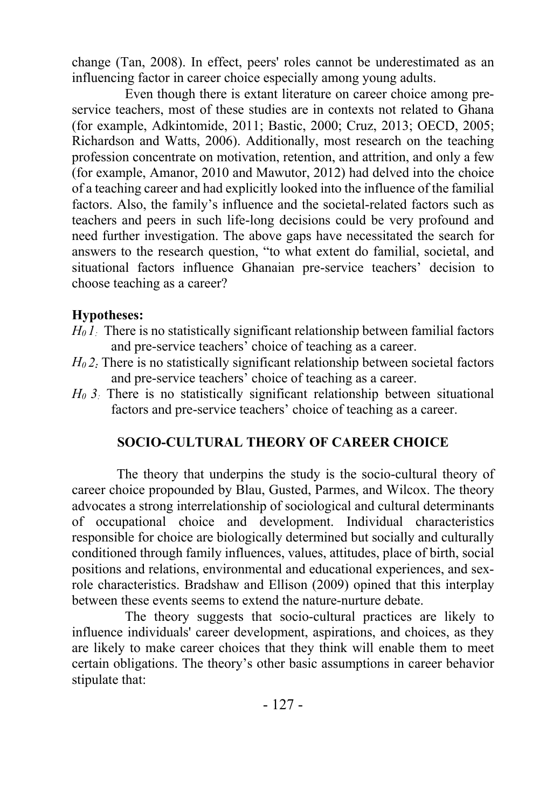change (Tan, 2008). In effect, peers' roles cannot be underestimated as an influencing factor in career choice especially among young adults.

Even though there is extant literature on career choice among preservice teachers, most of these studies are in contexts not related to Ghana (for example, Adkintomide, 2011; Bastic, 2000; Cruz, 2013; OECD, 2005; Richardson and Watts, 2006). Additionally, most research on the teaching profession concentrate on motivation, retention, and attrition, and only a few (for example, Amanor, 2010 and Mawutor, 2012) had delved into the choice of a teaching career and had explicitly looked into the influence of the familial factors. Also, the family's influence and the societal-related factors such as teachers and peers in such life-long decisions could be very profound and need further investigation. The above gaps have necessitated the search for answers to the research question, "to what extent do familial, societal, and situational factors influence Ghanaian pre-service teachers' decision to choose teaching as a career?

# **Hypotheses:**

- *H<sub>0</sub> 1*: There is no statistically significant relationship between familial factors and pre-service teachers' choice of teaching as a career.
- *H0 2:* There is no statistically significant relationship between societal factors and pre-service teachers' choice of teaching as a career.
- *H0 3:* There is no statistically significant relationship between situational factors and pre-service teachers' choice of teaching as a career.

# **SOCIO-CULTURAL THEORY OF CAREER CHOICE**

The theory that underpins the study is the socio-cultural theory of career choice propounded by Blau, Gusted, Parmes, and Wilcox. The theory advocates a strong interrelationship of sociological and cultural determinants of occupational choice and development. Individual characteristics responsible for choice are biologically determined but socially and culturally conditioned through family influences, values, attitudes, place of birth, social positions and relations, environmental and educational experiences, and sexrole characteristics. Bradshaw and Ellison (2009) opined that this interplay between these events seems to extend the nature-nurture debate.

The theory suggests that socio-cultural practices are likely to influence individuals' career development, aspirations, and choices, as they are likely to make career choices that they think will enable them to meet certain obligations. The theory's other basic assumptions in career behavior stipulate that: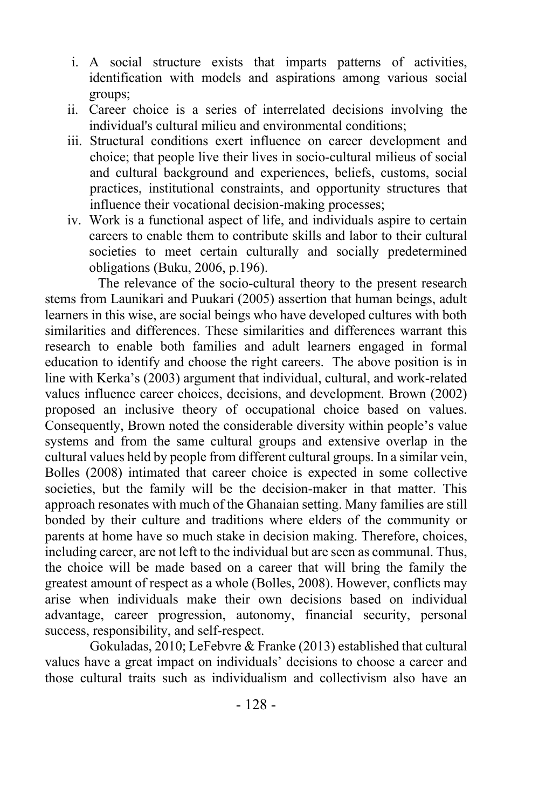- i. A social structure exists that imparts patterns of activities, identification with models and aspirations among various social groups;
- ii. Career choice is a series of interrelated decisions involving the individual's cultural milieu and environmental conditions;
- iii. Structural conditions exert influence on career development and choice; that people live their lives in socio-cultural milieus of social and cultural background and experiences, beliefs, customs, social practices, institutional constraints, and opportunity structures that influence their vocational decision-making processes;
- iv. Work is a functional aspect of life, and individuals aspire to certain careers to enable them to contribute skills and labor to their cultural societies to meet certain culturally and socially predetermined obligations (Buku, 2006, p.196).

The relevance of the socio-cultural theory to the present research stems from Launikari and Puukari (2005) assertion that human beings, adult learners in this wise, are social beings who have developed cultures with both similarities and differences. These similarities and differences warrant this research to enable both families and adult learners engaged in formal education to identify and choose the right careers. The above position is in line with Kerka's (2003) argument that individual, cultural, and work-related values influence career choices, decisions, and development. Brown (2002) proposed an inclusive theory of occupational choice based on values. Consequently, Brown noted the considerable diversity within people's value systems and from the same cultural groups and extensive overlap in the cultural values held by people from different cultural groups. In a similar vein, Bolles (2008) intimated that career choice is expected in some collective societies, but the family will be the decision-maker in that matter. This approach resonates with much of the Ghanaian setting. Many families are still bonded by their culture and traditions where elders of the community or parents at home have so much stake in decision making. Therefore, choices, including career, are not left to the individual but are seen as communal. Thus, the choice will be made based on a career that will bring the family the greatest amount of respect as a whole (Bolles, 2008). However, conflicts may arise when individuals make their own decisions based on individual advantage, career progression, autonomy, financial security, personal success, responsibility, and self-respect.

Gokuladas, 2010; LeFebvre & Franke (2013) established that cultural values have a great impact on individuals' decisions to choose a career and those cultural traits such as individualism and collectivism also have an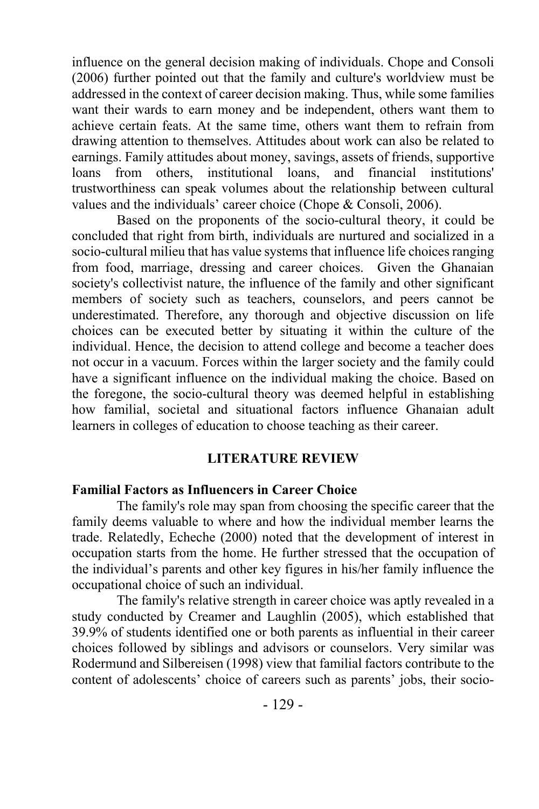influence on the general decision making of individuals. Chope and Consoli (2006) further pointed out that the family and culture's worldview must be addressed in the context of career decision making. Thus, while some families want their wards to earn money and be independent, others want them to achieve certain feats. At the same time, others want them to refrain from drawing attention to themselves. Attitudes about work can also be related to earnings. Family attitudes about money, savings, assets of friends, supportive loans from others, institutional loans, and financial institutions' trustworthiness can speak volumes about the relationship between cultural values and the individuals' career choice (Chope & Consoli, 2006).

Based on the proponents of the socio-cultural theory, it could be concluded that right from birth, individuals are nurtured and socialized in a socio-cultural milieu that has value systems that influence life choices ranging from food, marriage, dressing and career choices. Given the Ghanaian society's collectivist nature, the influence of the family and other significant members of society such as teachers, counselors, and peers cannot be underestimated. Therefore, any thorough and objective discussion on life choices can be executed better by situating it within the culture of the individual. Hence, the decision to attend college and become a teacher does not occur in a vacuum. Forces within the larger society and the family could have a significant influence on the individual making the choice. Based on the foregone, the socio-cultural theory was deemed helpful in establishing how familial, societal and situational factors influence Ghanaian adult learners in colleges of education to choose teaching as their career.

#### **LITERATURE REVIEW**

#### **Familial Factors as Influencers in Career Choice**

The family's role may span from choosing the specific career that the family deems valuable to where and how the individual member learns the trade. Relatedly, Echeche (2000) noted that the development of interest in occupation starts from the home. He further stressed that the occupation of the individual's parents and other key figures in his/her family influence the occupational choice of such an individual.

The family's relative strength in career choice was aptly revealed in a study conducted by Creamer and Laughlin (2005), which established that 39.9% of students identified one or both parents as influential in their career choices followed by siblings and advisors or counselors. Very similar was Rodermund and Silbereisen (1998) view that familial factors contribute to the content of adolescents' choice of careers such as parents' jobs, their socio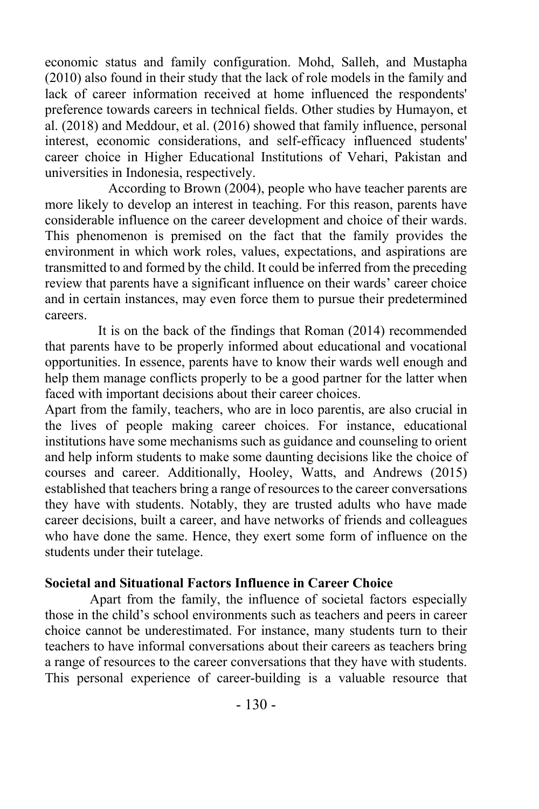economic status and family configuration. Mohd, Salleh, and Mustapha (2010) also found in their study that the lack of role models in the family and lack of career information received at home influenced the respondents' preference towards careers in technical fields. Other studies by Humayon, et al. (2018) and Meddour, et al. (2016) showed that family influence, personal interest, economic considerations, and self-efficacy influenced students' career choice in Higher Educational Institutions of Vehari, Pakistan and universities in Indonesia, respectively.

 According to Brown (2004), people who have teacher parents are more likely to develop an interest in teaching. For this reason, parents have considerable influence on the career development and choice of their wards. This phenomenon is premised on the fact that the family provides the environment in which work roles, values, expectations, and aspirations are transmitted to and formed by the child. It could be inferred from the preceding review that parents have a significant influence on their wards' career choice and in certain instances, may even force them to pursue their predetermined careers.

It is on the back of the findings that Roman (2014) recommended that parents have to be properly informed about educational and vocational opportunities. In essence, parents have to know their wards well enough and help them manage conflicts properly to be a good partner for the latter when faced with important decisions about their career choices.

Apart from the family, teachers, who are in loco parentis, are also crucial in the lives of people making career choices. For instance, educational institutions have some mechanisms such as guidance and counseling to orient and help inform students to make some daunting decisions like the choice of courses and career. Additionally, Hooley, Watts, and Andrews (2015) established that teachers bring a range of resources to the career conversations they have with students. Notably, they are trusted adults who have made career decisions, built a career, and have networks of friends and colleagues who have done the same. Hence, they exert some form of influence on the students under their tutelage.

#### **Societal and Situational Factors Influence in Career Choice**

Apart from the family, the influence of societal factors especially those in the child's school environments such as teachers and peers in career choice cannot be underestimated. For instance, many students turn to their teachers to have informal conversations about their careers as teachers bring a range of resources to the career conversations that they have with students. This personal experience of career-building is a valuable resource that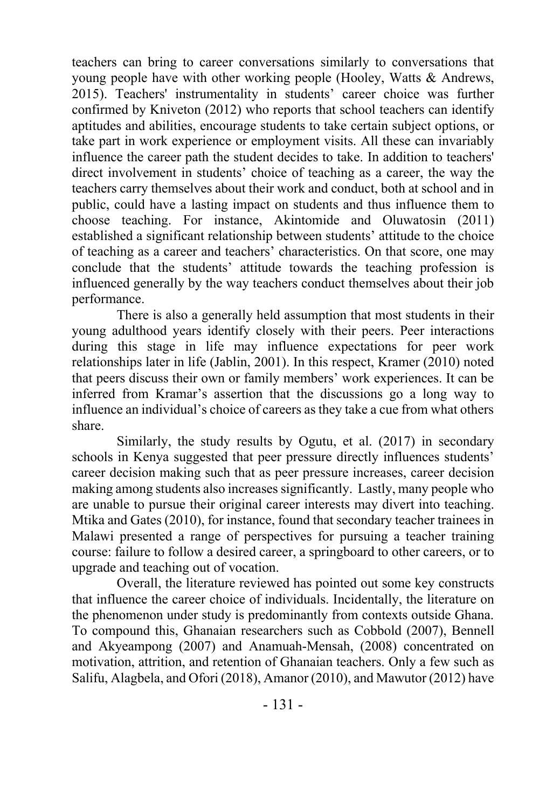teachers can bring to career conversations similarly to conversations that young people have with other working people (Hooley, Watts & Andrews, 2015). Teachers' instrumentality in students' career choice was further confirmed by Kniveton (2012) who reports that school teachers can identify aptitudes and abilities, encourage students to take certain subject options, or take part in work experience or employment visits. All these can invariably influence the career path the student decides to take. In addition to teachers' direct involvement in students' choice of teaching as a career, the way the teachers carry themselves about their work and conduct, both at school and in public, could have a lasting impact on students and thus influence them to choose teaching. For instance, Akintomide and Oluwatosin (2011) established a significant relationship between students' attitude to the choice of teaching as a career and teachers' characteristics. On that score, one may conclude that the students' attitude towards the teaching profession is influenced generally by the way teachers conduct themselves about their job performance.

There is also a generally held assumption that most students in their young adulthood years identify closely with their peers. Peer interactions during this stage in life may influence expectations for peer work relationships later in life (Jablin, 2001). In this respect, Kramer (2010) noted that peers discuss their own or family members' work experiences. It can be inferred from Kramar's assertion that the discussions go a long way to influence an individual's choice of careers as they take a cue from what others share.

Similarly, the study results by Ogutu, et al. (2017) in secondary schools in Kenya suggested that peer pressure directly influences students' career decision making such that as peer pressure increases, career decision making among students also increases significantly. Lastly, many people who are unable to pursue their original career interests may divert into teaching. Mtika and Gates (2010), for instance, found that secondary teacher trainees in Malawi presented a range of perspectives for pursuing a teacher training course: failure to follow a desired career, a springboard to other careers, or to upgrade and teaching out of vocation.

Overall, the literature reviewed has pointed out some key constructs that influence the career choice of individuals. Incidentally, the literature on the phenomenon under study is predominantly from contexts outside Ghana. To compound this, Ghanaian researchers such as Cobbold (2007), Bennell and Akyeampong (2007) and Anamuah-Mensah, (2008) concentrated on motivation, attrition, and retention of Ghanaian teachers. Only a few such as Salifu, Alagbela, and Ofori (2018), Amanor (2010), and Mawutor (2012) have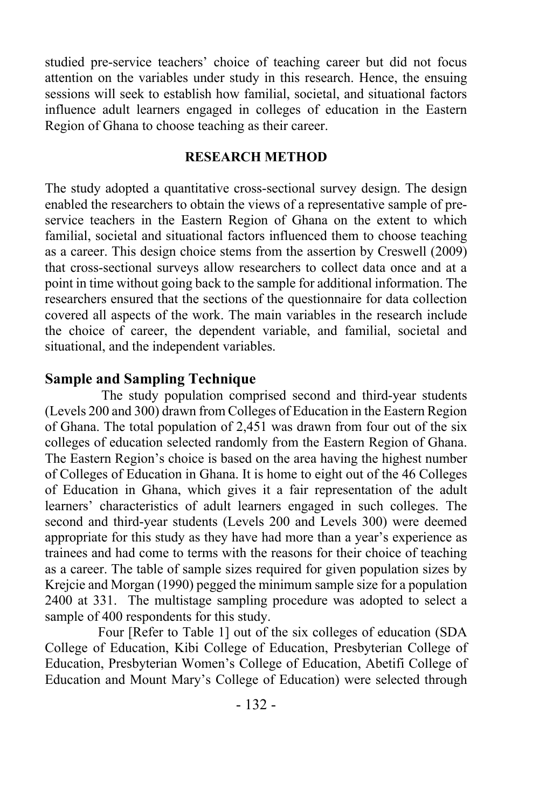studied pre-service teachers' choice of teaching career but did not focus attention on the variables under study in this research. Hence, the ensuing sessions will seek to establish how familial, societal, and situational factors influence adult learners engaged in colleges of education in the Eastern Region of Ghana to choose teaching as their career.

### **RESEARCH METHOD**

The study adopted a quantitative cross-sectional survey design. The design enabled the researchers to obtain the views of a representative sample of preservice teachers in the Eastern Region of Ghana on the extent to which familial, societal and situational factors influenced them to choose teaching as a career. This design choice stems from the assertion by Creswell (2009) that cross-sectional surveys allow researchers to collect data once and at a point in time without going back to the sample for additional information. The researchers ensured that the sections of the questionnaire for data collection covered all aspects of the work. The main variables in the research include the choice of career, the dependent variable, and familial, societal and situational, and the independent variables.

# **Sample and Sampling Technique**

The study population comprised second and third-year students (Levels 200 and 300) drawn from Colleges of Education in the Eastern Region of Ghana. The total population of 2,451 was drawn from four out of the six colleges of education selected randomly from the Eastern Region of Ghana. The Eastern Region's choice is based on the area having the highest number of Colleges of Education in Ghana. It is home to eight out of the 46 Colleges of Education in Ghana, which gives it a fair representation of the adult learners' characteristics of adult learners engaged in such colleges. The second and third-year students (Levels 200 and Levels 300) were deemed appropriate for this study as they have had more than a year's experience as trainees and had come to terms with the reasons for their choice of teaching as a career. The table of sample sizes required for given population sizes by Krejcie and Morgan (1990) pegged the minimum sample size for a population 2400 at 331. The multistage sampling procedure was adopted to select a sample of 400 respondents for this study.

Four [Refer to Table 1] out of the six colleges of education (SDA College of Education, Kibi College of Education, Presbyterian College of Education, Presbyterian Women's College of Education, Abetifi College of Education and Mount Mary's College of Education) were selected through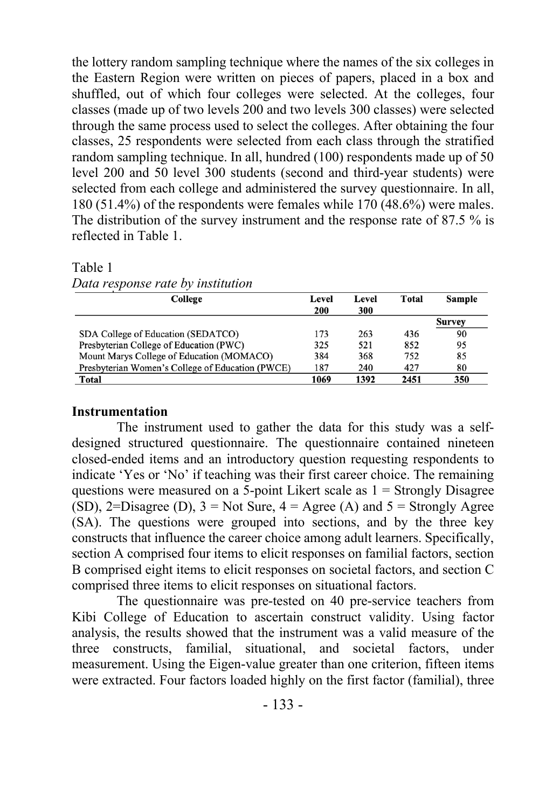the lottery random sampling technique where the names of the six colleges in the Eastern Region were written on pieces of papers, placed in a box and shuffled, out of which four colleges were selected. At the colleges, four classes (made up of two levels 200 and two levels 300 classes) were selected through the same process used to select the colleges. After obtaining the four classes, 25 respondents were selected from each class through the stratified random sampling technique. In all, hundred (100) respondents made up of 50 level 200 and 50 level 300 students (second and third-year students) were selected from each college and administered the survey questionnaire. In all, 180 (51.4%) of the respondents were females while 170 (48.6%) were males. The distribution of the survey instrument and the response rate of 87.5 % is reflected in Table 1.

Table 1

*Data response rate by institution*

| College                                          | Level | Level | Total | Sample |
|--------------------------------------------------|-------|-------|-------|--------|
|                                                  | 200   | 300   |       |        |
|                                                  |       |       |       | Survey |
| SDA College of Education (SEDATCO)               | 173   | 263   | 436   | 90     |
| Presbyterian College of Education (PWC)          | 325   | 521   | 852   | 95     |
| Mount Marys College of Education (MOMACO)        | 384   | 368   | 752   | 85     |
| Presbyterian Women's College of Education (PWCE) | 187   | 240   | 427   | 80     |
| <b>Total</b>                                     | 1069  | 1392  | 2451  | 350    |

### **Instrumentation**

The instrument used to gather the data for this study was a selfdesigned structured questionnaire. The questionnaire contained nineteen closed-ended items and an introductory question requesting respondents to indicate 'Yes or 'No' if teaching was their first career choice. The remaining questions were measured on a 5-point Likert scale as  $1 =$  Strongly Disagree (SD), 2=Disagree (D),  $3 = Not Sure$ ,  $4 = Agee$  (A) and  $5 = Strongly$  Agree (SA). The questions were grouped into sections, and by the three key constructs that influence the career choice among adult learners. Specifically, section A comprised four items to elicit responses on familial factors, section B comprised eight items to elicit responses on societal factors, and section C comprised three items to elicit responses on situational factors.

The questionnaire was pre-tested on 40 pre-service teachers from Kibi College of Education to ascertain construct validity. Using factor analysis, the results showed that the instrument was a valid measure of the three constructs, familial, situational, and societal factors, under measurement. Using the Eigen-value greater than one criterion, fifteen items were extracted. Four factors loaded highly on the first factor (familial), three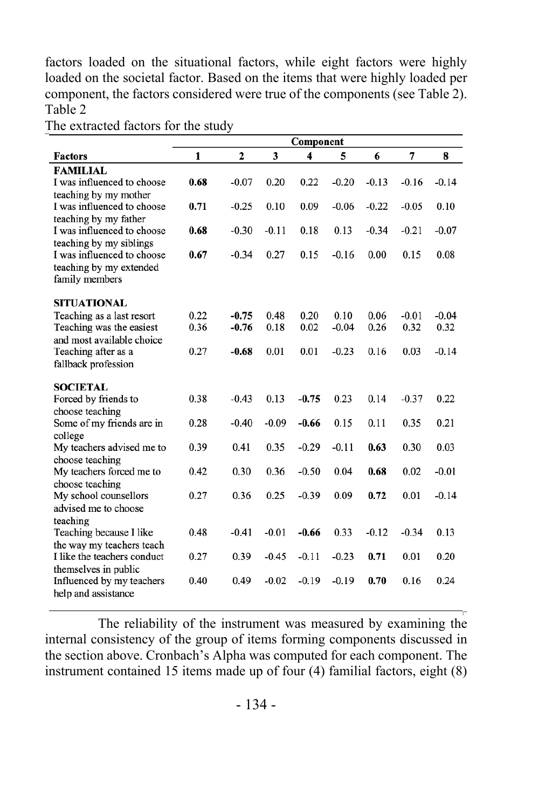factors loaded on the situational factors, while eight factors were highly loaded on the societal factor. Based on the items that were highly loaded per component, the factors considered were true of the components (see Table 2). Table 2

|                                                     |      |                |         | Component               |         |         |         |         |
|-----------------------------------------------------|------|----------------|---------|-------------------------|---------|---------|---------|---------|
| <b>Factors</b>                                      | 1    | $\overline{2}$ | 3       | $\overline{\mathbf{4}}$ | 5       | 6       | 7       | 8       |
| <b>FAMILIAL</b>                                     |      |                |         |                         |         |         |         |         |
| I was influenced to choose                          | 0.68 | $-0.07$        | 0.20    | 0.22                    | $-0.20$ | $-0.13$ | $-0.16$ | $-0.14$ |
| teaching by my mother                               |      |                |         |                         |         |         |         |         |
| I was influenced to choose<br>teaching by my father | 0.71 | $-0.25$        | 0.10    | 0.09                    | $-0.06$ | $-0.22$ | $-0.05$ | 0.10    |
| I was influenced to choose                          | 0.68 | $-0.30$        | $-0.11$ | 0.18                    | 0.13    | $-0.34$ | $-0.21$ | $-0.07$ |
| teaching by my siblings                             |      |                |         |                         |         |         |         |         |
| I was influenced to choose                          | 0.67 | $-0.34$        | 0.27    | 0.15                    | $-0.16$ | 0.00    | 0.15    | 0.08    |
| teaching by my extended                             |      |                |         |                         |         |         |         |         |
| family members                                      |      |                |         |                         |         |         |         |         |
| <b>SITUATIONAL</b>                                  |      |                |         |                         |         |         |         |         |
| Teaching as a last resort                           | 0.22 | $-0.75$        | 0.48    | 0.20                    | 0.10    | 0.06    | $-0.01$ | $-0.04$ |
| Teaching was the easiest                            | 0.36 | $-0.76$        | 0.18    | 0.02                    | $-0.04$ | 0.26    | 0.32    | 0.32    |
| and most available choice                           |      |                |         |                         |         |         |         |         |
| Teaching after as a                                 | 0.27 | $-0.68$        | 0.01    | 0.01                    | $-0.23$ | 0.16    | 0.03    | $-0.14$ |
| fallback profession                                 |      |                |         |                         |         |         |         |         |
| <b>SOCIETAL</b>                                     |      |                |         |                         |         |         |         |         |
| Forced by friends to                                | 0.38 | $-0.43$        | 0.13    | $-0.75$                 | 0.23    | 0.14    | $-0.37$ | 0.22    |
| choose teaching                                     |      |                |         |                         |         |         |         |         |
| Some of my friends are in                           | 0.28 | $-0.40$        | $-0.09$ | $-0.66$                 | 0.15    | 0.11    | 0.35    | 0.21    |
| college                                             |      |                |         |                         |         |         |         |         |
| My teachers advised me to                           | 0.39 | 0.41           | 0.35    | $-0.29$                 | $-0.11$ | 0.63    | 0.30    | 0.03    |
| choose teaching                                     |      |                |         |                         |         |         |         |         |
| My teachers forced me to<br>choose teaching         | 0.42 | 0.30           | 0.36    | $-0.50$                 | 0.04    | 0.68    | 0.02    | $-0.01$ |
| My school counsellors                               | 0.27 | 0.36           | 0.25    | $-0.39$                 | 0.09    | 0.72    | 0.01    | $-0.14$ |
| advised me to choose                                |      |                |         |                         |         |         |         |         |
| teaching                                            |      |                |         |                         |         |         |         |         |
| Teaching because I like                             | 0.48 | $-0.41$        | $-0.01$ | $-0.66$                 | 0.33    | $-0.12$ | $-0.34$ | 0.13    |
| the way my teachers teach                           |      |                |         |                         |         |         |         |         |
| I like the teachers conduct                         | 0.27 | 0.39           | $-0.45$ | $-0.11$                 | $-0.23$ | 0.71    | 0.01    | 0.20    |
| themselves in public                                | 0.40 | 0.49           | $-0.02$ | $-0.19$                 | $-0.19$ | 0.70    | 0.16    | 0.24    |
| Influenced by my teachers<br>help and assistance    |      |                |         |                         |         |         |         |         |
|                                                     |      |                |         |                         |         |         |         |         |

The extracted factors for the study

The reliability of the instrument was measured by examining the internal consistency of the group of items forming components discussed in the section above. Cronbach's Alpha was computed for each component. The instrument contained 15 items made up of four (4) familial factors, eight (8)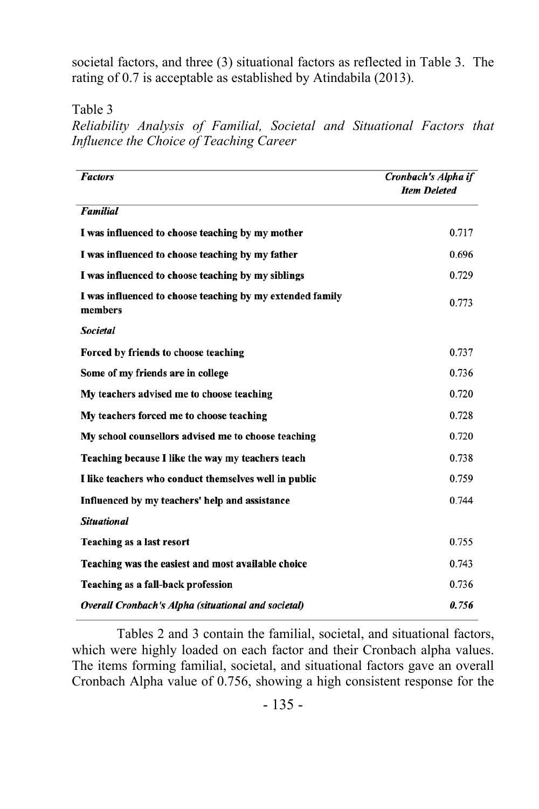societal factors, and three (3) situational factors as reflected in Table 3. The rating of 0.7 is acceptable as established by Atindabila (2013).

Table 3

*Reliability Analysis of Familial, Societal and Situational Factors that Influence the Choice of Teaching Career*

| <b>Factors</b>                                                       | Cronbach's Alpha if<br><b>Item Deleted</b> |
|----------------------------------------------------------------------|--------------------------------------------|
| <b>Familial</b>                                                      |                                            |
| I was influenced to choose teaching by my mother                     | 0.717                                      |
| I was influenced to choose teaching by my father                     | 0.696                                      |
| I was influenced to choose teaching by my siblings                   | 0.729                                      |
| I was influenced to choose teaching by my extended family<br>members | 0.773                                      |
| <b>Societal</b>                                                      |                                            |
| Forced by friends to choose teaching                                 | 0.737                                      |
| Some of my friends are in college                                    | 0.736                                      |
| My teachers advised me to choose teaching                            | 0.720                                      |
| My teachers forced me to choose teaching                             | 0.728                                      |
| My school counsellors advised me to choose teaching                  | 0.720                                      |
| Teaching because I like the way my teachers teach                    | 0.738                                      |
| I like teachers who conduct themselves well in public                | 0.759                                      |
| Influenced by my teachers' help and assistance                       | 0.744                                      |
| <b>Situational</b>                                                   |                                            |
| Teaching as a last resort                                            | 0.755                                      |
| Teaching was the easiest and most available choice                   | 0.743                                      |
| Teaching as a fall-back profession                                   | 0.736                                      |
| Overall Cronbach's Alpha (situational and societal)                  | 0.756                                      |

Tables 2 and 3 contain the familial, societal, and situational factors, which were highly loaded on each factor and their Cronbach alpha values. The items forming familial, societal, and situational factors gave an overall Cronbach Alpha value of 0.756, showing a high consistent response for the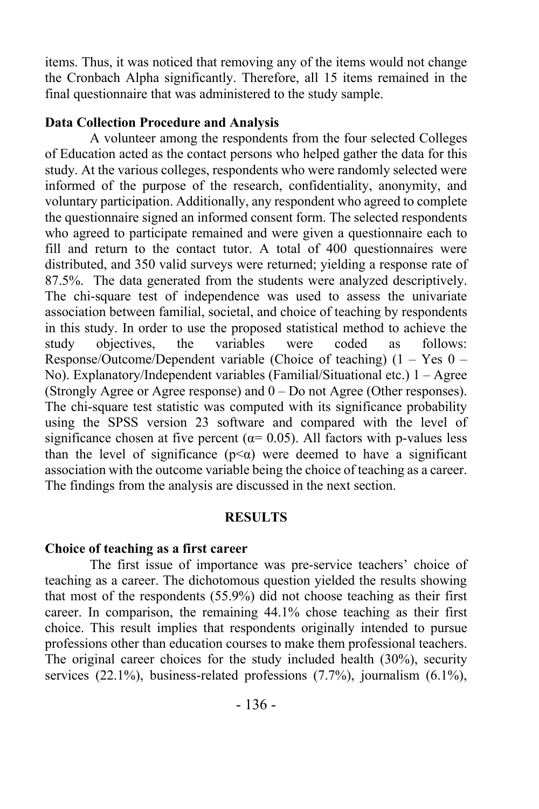items. Thus, it was noticed that removing any of the items would not change the Cronbach Alpha significantly. Therefore, all 15 items remained in the final questionnaire that was administered to the study sample.

#### **Data Collection Procedure and Analysis**

A volunteer among the respondents from the four selected Colleges of Education acted as the contact persons who helped gather the data for this study. At the various colleges, respondents who were randomly selected were informed of the purpose of the research, confidentiality, anonymity, and voluntary participation. Additionally, any respondent who agreed to complete the questionnaire signed an informed consent form. The selected respondents who agreed to participate remained and were given a questionnaire each to fill and return to the contact tutor. A total of 400 questionnaires were distributed, and 350 valid surveys were returned; yielding a response rate of 87.5%. The data generated from the students were analyzed descriptively. The chi-square test of independence was used to assess the univariate association between familial, societal, and choice of teaching by respondents in this study. In order to use the proposed statistical method to achieve the study objectives, the variables were coded as follows: Response/Outcome/Dependent variable (Choice of teaching)  $(1 - Yes 0 -$ No). Explanatory/Independent variables (Familial/Situational etc.) 1 – Agree (Strongly Agree or Agree response) and  $0 - Do$  not Agree (Other responses). The chi-square test statistic was computed with its significance probability using the SPSS version 23 software and compared with the level of significance chosen at five percent ( $\alpha$ = 0.05). All factors with p-values less than the level of significance ( $p \leq \alpha$ ) were deemed to have a significant association with the outcome variable being the choice of teaching as a career. The findings from the analysis are discussed in the next section.

#### **RESULTS**

#### **Choice of teaching as a first career**

The first issue of importance was pre-service teachers' choice of teaching as a career. The dichotomous question yielded the results showing that most of the respondents (55.9%) did not choose teaching as their first career. In comparison, the remaining 44.1% chose teaching as their first choice. This result implies that respondents originally intended to pursue professions other than education courses to make them professional teachers. The original career choices for the study included health (30%), security services (22.1%), business-related professions (7.7%), journalism (6.1%),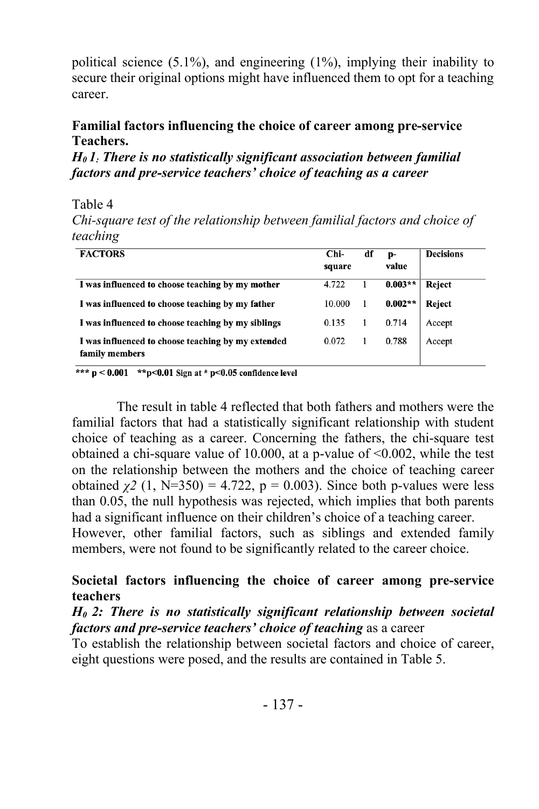political science (5.1%), and engineering (1%), implying their inability to secure their original options might have influenced them to opt for a teaching career.

### **Familial factors influencing the choice of career among pre-service Teachers.**

*H0 1: There is no statistically significant association between familial factors and pre-service teachers' choice of teaching as a career*

Table 4

*Chi-square test of the relationship between familial factors and choice of teaching*

| <b>FACTORS</b>                                                       | Chi-<br>square | df | p-<br>value | <b>Decisions</b> |
|----------------------------------------------------------------------|----------------|----|-------------|------------------|
| I was influenced to choose teaching by my mother                     | 4.722          |    | $0.003**$   | Reject           |
| I was influenced to choose teaching by my father                     | 10.000         |    | $0.002**$   | Reject           |
| I was influenced to choose teaching by my siblings                   | 0.135          |    | 0.714       | Accept           |
| I was influenced to choose teaching by my extended<br>family members | 0.072          |    | 0.788       | Accept           |

\*\*\*  $p < 0.001$  \*\* $p < 0.01$  Sign at \*  $p < 0.05$  confidence level

The result in table 4 reflected that both fathers and mothers were the familial factors that had a statistically significant relationship with student choice of teaching as a career. Concerning the fathers, the chi-square test obtained a chi-square value of 10.000, at a p-value of <0.002, while the test on the relationship between the mothers and the choice of teaching career obtained  $\chi^2$  (1, N=350) = 4.722, p = 0.003). Since both p-values were less than 0.05, the null hypothesis was rejected, which implies that both parents had a significant influence on their children's choice of a teaching career. However, other familial factors, such as siblings and extended family members, were not found to be significantly related to the career choice.

# **Societal factors influencing the choice of career among pre-service teachers**

*H0 2: There is no statistically significant relationship between societal factors and pre-service teachers' choice of teaching* as a career

To establish the relationship between societal factors and choice of career, eight questions were posed, and the results are contained in Table 5.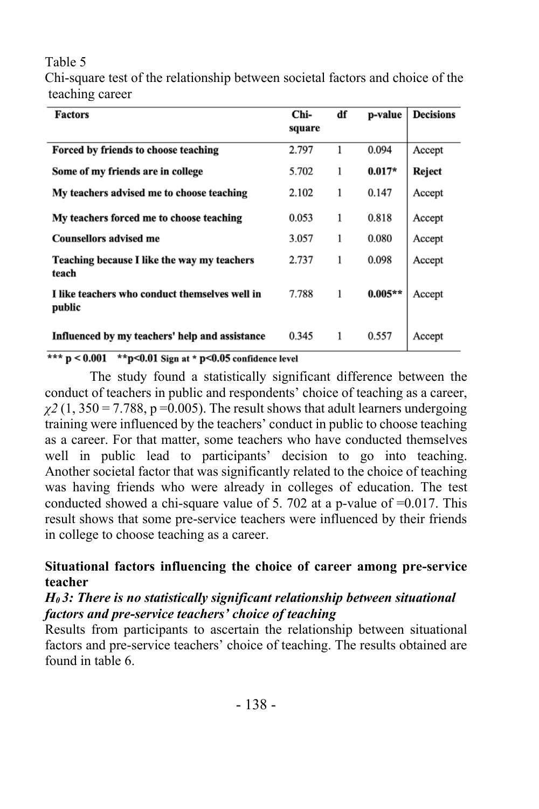### Table 5

Chi-square test of the relationship between societal factors and choice of the teaching career

| <b>Factors</b>                                           | Chi-<br>square | df | p-value   | <b>Decisions</b> |
|----------------------------------------------------------|----------------|----|-----------|------------------|
| Forced by friends to choose teaching                     | 2.797          | 1  | 0.094     | Accept           |
| Some of my friends are in college                        | 5.702          | 1  | $0.017*$  | Reject           |
| My teachers advised me to choose teaching                | 2.102          | 1  | 0.147     | Accept           |
| My teachers forced me to choose teaching                 | 0.053          | 1  | 0.818     | Accept           |
| <b>Counsellors advised me</b>                            | 3.057          | 1  | 0.080     | Accept           |
| Teaching because I like the way my teachers<br>teach     | 2.737          | 1  | 0.098     | Accept           |
| I like teachers who conduct themselves well in<br>public | 7.788          | 1  | $0.005**$ | Accept           |
| Influenced by my teachers' help and assistance           | 0.345          | 1  | 0.557     | Accept           |

\*\*\*  $p < 0.001$  \*\*  $p < 0.01$  Sign at \*  $p < 0.05$  confidence level

The study found a statistically significant difference between the conduct of teachers in public and respondents' choice of teaching as a career,  $\chi^2$  (1, 350 = 7.788, p = 0.005). The result shows that adult learners undergoing training were influenced by the teachers' conduct in public to choose teaching as a career. For that matter, some teachers who have conducted themselves well in public lead to participants' decision to go into teaching. Another societal factor that was significantly related to the choice of teaching was having friends who were already in colleges of education. The test conducted showed a chi-square value of 5. 702 at a p-value of  $=0.017$ . This result shows that some pre-service teachers were influenced by their friends in college to choose teaching as a career.

# **Situational factors influencing the choice of career among pre-service teacher**

# *H0 3: There is no statistically significant relationship between situational factors and pre-service teachers' choice of teaching*

Results from participants to ascertain the relationship between situational factors and pre-service teachers' choice of teaching. The results obtained are found in table 6.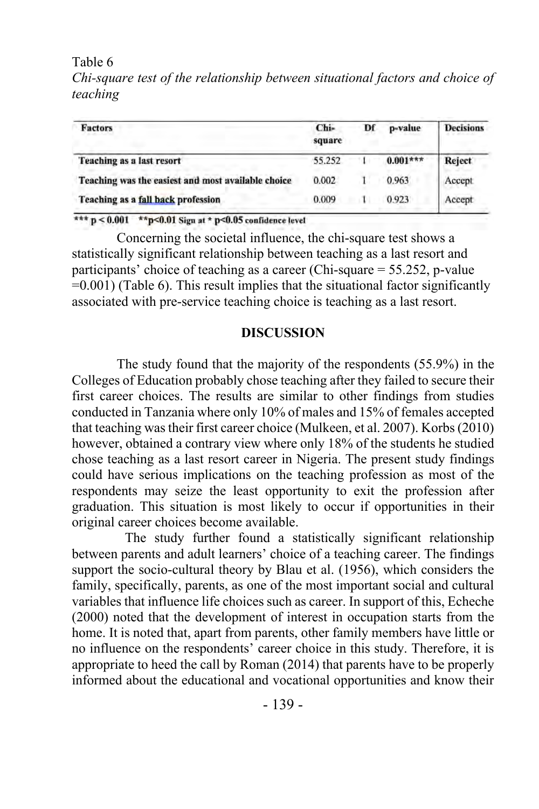Table 6

*Chi-square test of the relationship between situational factors and choice of teaching*

| Factors                                            | Chi-<br>square | Df | p-value    | <b>Decisions</b> |
|----------------------------------------------------|----------------|----|------------|------------------|
| Teaching as a last resort                          | 55.252         |    | $0.001***$ | Reject           |
| Teaching was the easiest and most available choice | 0.002          |    | 0.963      | Accept           |
| Teaching as a fall back profession                 | 0.009          |    | 0.923      | Accept           |

\*\*\*  $p < 0.001$  \*\* $p < 0.01$  Sign at \*  $p < 0.05$  confidence level

Concerning the societal influence, the chi-square test shows a statistically significant relationship between teaching as a last resort and participants' choice of teaching as a career (Chi-square = 55.252, p-value  $=0.001$ ) (Table 6). This result implies that the situational factor significantly associated with pre-service teaching choice is teaching as a last resort.

#### **DISCUSSION**

The study found that the majority of the respondents (55.9%) in the Colleges of Education probably chose teaching after they failed to secure their first career choices. The results are similar to other findings from studies conducted in Tanzania where only 10% of males and 15% of females accepted that teaching was their first career choice (Mulkeen, et al. 2007). Korbs (2010) however, obtained a contrary view where only 18% of the students he studied chose teaching as a last resort career in Nigeria. The present study findings could have serious implications on the teaching profession as most of the respondents may seize the least opportunity to exit the profession after graduation. This situation is most likely to occur if opportunities in their original career choices become available.

The study further found a statistically significant relationship between parents and adult learners' choice of a teaching career. The findings support the socio-cultural theory by Blau et al. (1956), which considers the family, specifically, parents, as one of the most important social and cultural variables that influence life choices such as career. In support of this, Echeche (2000) noted that the development of interest in occupation starts from the home. It is noted that, apart from parents, other family members have little or no influence on the respondents' career choice in this study. Therefore, it is appropriate to heed the call by Roman (2014) that parents have to be properly informed about the educational and vocational opportunities and know their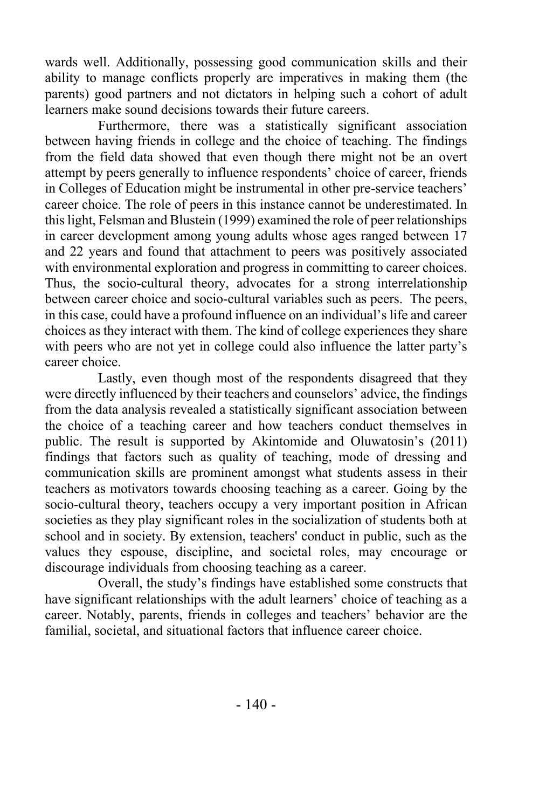wards well. Additionally, possessing good communication skills and their ability to manage conflicts properly are imperatives in making them (the parents) good partners and not dictators in helping such a cohort of adult learners make sound decisions towards their future careers.

Furthermore, there was a statistically significant association between having friends in college and the choice of teaching. The findings from the field data showed that even though there might not be an overt attempt by peers generally to influence respondents' choice of career, friends in Colleges of Education might be instrumental in other pre-service teachers' career choice. The role of peers in this instance cannot be underestimated. In this light, Felsman and Blustein (1999) examined the role of peer relationships in career development among young adults whose ages ranged between 17 and 22 years and found that attachment to peers was positively associated with environmental exploration and progress in committing to career choices. Thus, the socio-cultural theory, advocates for a strong interrelationship between career choice and socio-cultural variables such as peers. The peers, in this case, could have a profound influence on an individual's life and career choices as they interact with them. The kind of college experiences they share with peers who are not yet in college could also influence the latter party's career choice.

Lastly, even though most of the respondents disagreed that they were directly influenced by their teachers and counselors' advice, the findings from the data analysis revealed a statistically significant association between the choice of a teaching career and how teachers conduct themselves in public. The result is supported by Akintomide and Oluwatosin's (2011) findings that factors such as quality of teaching, mode of dressing and communication skills are prominent amongst what students assess in their teachers as motivators towards choosing teaching as a career. Going by the socio-cultural theory, teachers occupy a very important position in African societies as they play significant roles in the socialization of students both at school and in society. By extension, teachers' conduct in public, such as the values they espouse, discipline, and societal roles, may encourage or discourage individuals from choosing teaching as a career.

Overall, the study's findings have established some constructs that have significant relationships with the adult learners' choice of teaching as a career. Notably, parents, friends in colleges and teachers' behavior are the familial, societal, and situational factors that influence career choice.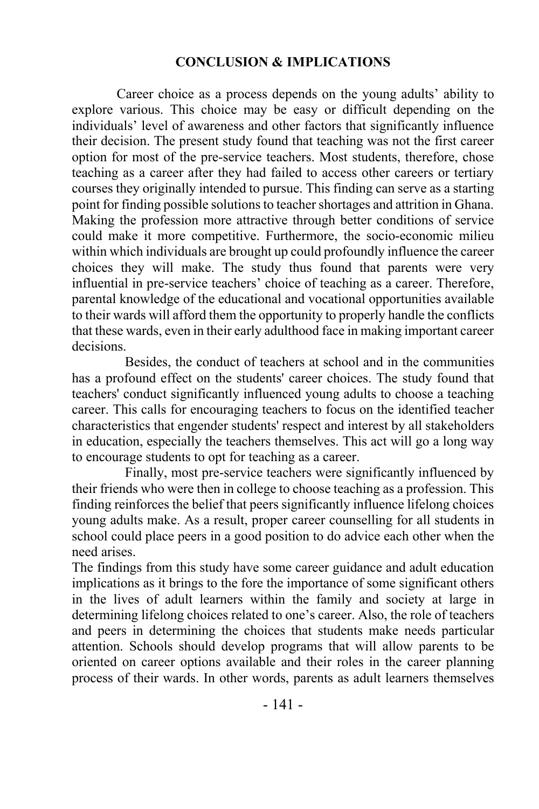#### **CONCLUSION & IMPLICATIONS**

Career choice as a process depends on the young adults' ability to explore various. This choice may be easy or difficult depending on the individuals' level of awareness and other factors that significantly influence their decision. The present study found that teaching was not the first career option for most of the pre-service teachers. Most students, therefore, chose teaching as a career after they had failed to access other careers or tertiary courses they originally intended to pursue. This finding can serve as a starting point for finding possible solutions to teacher shortages and attrition in Ghana. Making the profession more attractive through better conditions of service could make it more competitive. Furthermore, the socio-economic milieu within which individuals are brought up could profoundly influence the career choices they will make. The study thus found that parents were very influential in pre-service teachers' choice of teaching as a career. Therefore, parental knowledge of the educational and vocational opportunities available to their wards will afford them the opportunity to properly handle the conflicts that these wards, even in their early adulthood face in making important career decisions.

Besides, the conduct of teachers at school and in the communities has a profound effect on the students' career choices. The study found that teachers' conduct significantly influenced young adults to choose a teaching career. This calls for encouraging teachers to focus on the identified teacher characteristics that engender students' respect and interest by all stakeholders in education, especially the teachers themselves. This act will go a long way to encourage students to opt for teaching as a career.

Finally, most pre-service teachers were significantly influenced by their friends who were then in college to choose teaching as a profession. This finding reinforces the belief that peers significantly influence lifelong choices young adults make. As a result, proper career counselling for all students in school could place peers in a good position to do advice each other when the need arises.

The findings from this study have some career guidance and adult education implications as it brings to the fore the importance of some significant others in the lives of adult learners within the family and society at large in determining lifelong choices related to one's career. Also, the role of teachers and peers in determining the choices that students make needs particular attention. Schools should develop programs that will allow parents to be oriented on career options available and their roles in the career planning process of their wards. In other words, parents as adult learners themselves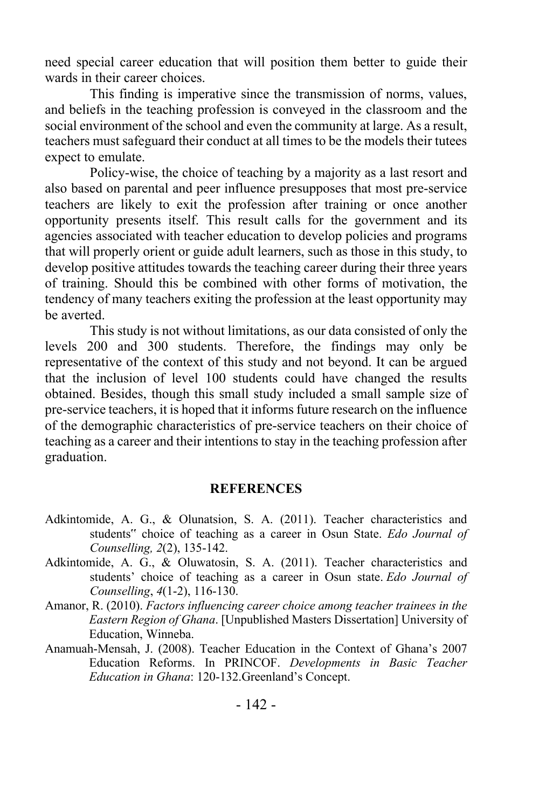need special career education that will position them better to guide their wards in their career choices.

This finding is imperative since the transmission of norms, values, and beliefs in the teaching profession is conveyed in the classroom and the social environment of the school and even the community at large. As a result, teachers must safeguard their conduct at all times to be the models their tutees expect to emulate.

Policy-wise, the choice of teaching by a majority as a last resort and also based on parental and peer influence presupposes that most pre-service teachers are likely to exit the profession after training or once another opportunity presents itself. This result calls for the government and its agencies associated with teacher education to develop policies and programs that will properly orient or guide adult learners, such as those in this study, to develop positive attitudes towards the teaching career during their three years of training. Should this be combined with other forms of motivation, the tendency of many teachers exiting the profession at the least opportunity may be averted.

This study is not without limitations, as our data consisted of only the levels 200 and 300 students. Therefore, the findings may only be representative of the context of this study and not beyond. It can be argued that the inclusion of level 100 students could have changed the results obtained. Besides, though this small study included a small sample size of pre-service teachers, it is hoped that it informs future research on the influence of the demographic characteristics of pre-service teachers on their choice of teaching as a career and their intentions to stay in the teaching profession after graduation.

#### **REFERENCES**

- Adkintomide, A. G., & Olunatsion, S. A. (2011). Teacher characteristics and students" choice of teaching as a career in Osun State. *Edo Journal of Counselling, 2*(2), 135-142.
- Adkintomide, A. G., & Oluwatosin, S. A. (2011). Teacher characteristics and students' choice of teaching as a career in Osun state. *Edo Journal of Counselling*, *4*(1-2), 116-130.
- Amanor, R. (2010). *Factors influencing career choice among teacher trainees in the Eastern Region of Ghana*. [Unpublished Masters Dissertation] University of Education, Winneba.
- Anamuah-Mensah, J. (2008). Teacher Education in the Context of Ghana's 2007 Education Reforms. In PRINCOF. *Developments in Basic Teacher Education in Ghana*: 120-132.Greenland's Concept.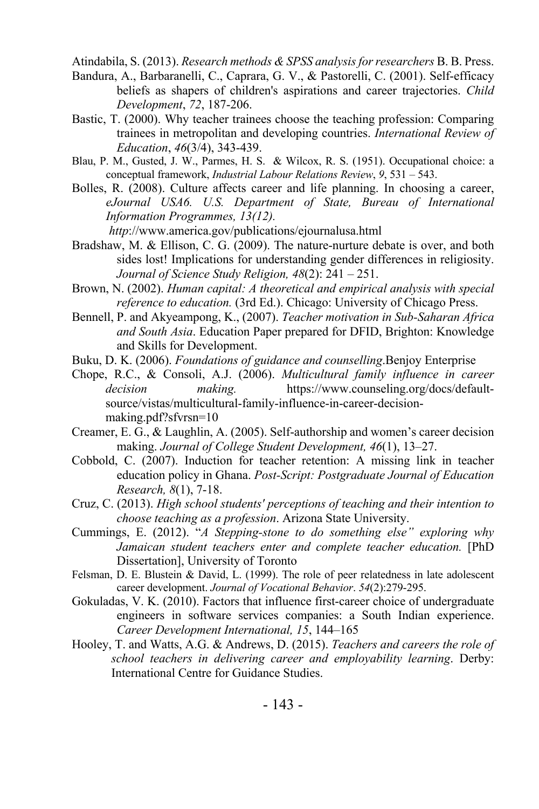Atindabila, S. (2013). *Research methods & SPSS analysis for researchers* B. B. Press.

- Bandura, A., Barbaranelli, C., Caprara, G. V., & Pastorelli, C. (2001). Self-efficacy beliefs as shapers of children's aspirations and career trajectories. *Child Development*, *72*, 187-206.
- Bastic, T. (2000). Why teacher trainees choose the teaching profession: Comparing trainees in metropolitan and developing countries. *International Review of Education*, *46*(3/4), 343-439.
- Blau, P. M., Gusted, J. W., Parmes, H. S. & Wilcox, R. S. (1951). Occupational choice: a conceptual framework, *Industrial Labour Relations Review*, *9*, 531 – 543.
- Bolles, R. (2008). Culture affects career and life planning. In choosing a career, *eJournal USA6. U.S. Department of State, Bureau of International Information Programmes, 13(12).*

*http*://www.america.gov/publications/ejournalusa.html

- Bradshaw, M. & Ellison, C. G. (2009). The nature-nurture debate is over, and both sides lost! Implications for understanding gender differences in religiosity. *Journal of Science Study Religion, 48*(2): 241 – 251.
- Brown, N. (2002). *Human capital: A theoretical and empirical analysis with special reference to education.* (3rd Ed.). Chicago: University of Chicago Press.
- Bennell, P. and Akyeampong, K., (2007). *Teacher motivation in Sub-Saharan Africa and South Asia*. Education Paper prepared for DFID, Brighton: Knowledge and Skills for Development.
- Buku, D. K. (2006). *Foundations of guidance and counselling*.Benjoy Enterprise
- Chope, R.C., & Consoli, A.J. (2006). *Multicultural family influence in career decision making.* https://www.counseling.org/docs/defaultsource/vistas/multicultural-family-influence-in-career-decisionmaking.pdf?sfvrsn=10
- Creamer, E. G., & Laughlin, A. (2005). Self-authorship and women's career decision making. *Journal of College Student Development, 46*(1), 13–27.
- Cobbold, C. (2007). Induction for teacher retention: A missing link in teacher education policy in Ghana. *Post-Script: Postgraduate Journal of Education Research, 8*(1), 7-18.
- Cruz, C. (2013). *High school students' perceptions of teaching and their intention to choose teaching as a profession*. Arizona State University.
- Cummings, E. (2012). "*A Stepping-stone to do something else" exploring why Jamaican student teachers enter and complete teacher education.* [PhD Dissertation], University of Toronto
- Felsman, D. E. Blustein & David, L. (1999). The role of peer relatedness in late adolescent career development. *Journal of Vocational Behavior*. *54*(2):279-295.
- Gokuladas, V. K. (2010). Factors that influence first-career choice of undergraduate engineers in software services companies: a South Indian experience. *Career Development International, 15*, 144–165
- Hooley, T. and Watts, A.G. & Andrews, D. (2015). *Teachers and careers the role of school teachers in delivering career and employability learning*. Derby: International Centre for Guidance Studies.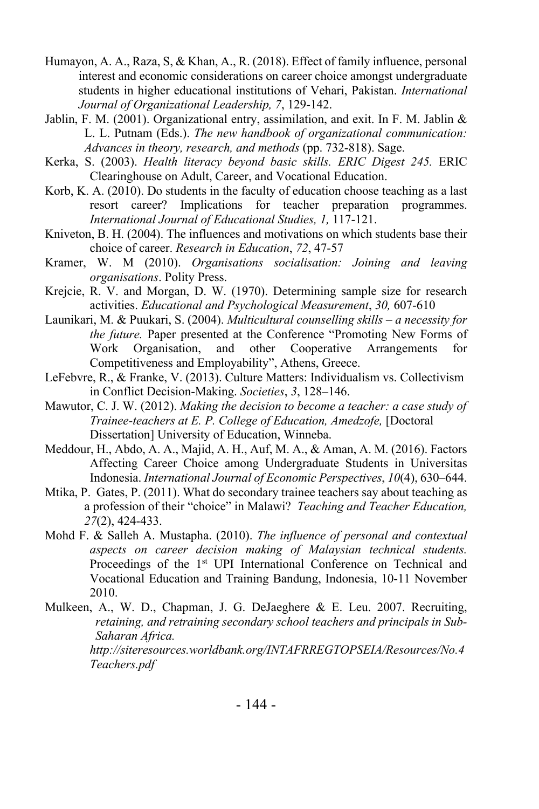- Humayon, A. A., Raza, S, & Khan, A., R. (2018). Effect of family influence, personal interest and economic considerations on career choice amongst undergraduate students in higher educational institutions of Vehari, Pakistan. *International Journal of Organizational Leadership, 7*, 129-142.
- Jablin, F. M. (2001). Organizational entry, assimilation, and exit. In F. M. Jablin  $\&$ L. L. Putnam (Eds.). *The new handbook of organizational communication: Advances in theory, research, and methods* (pp. 732-818). Sage.
- Kerka, S. (2003). *Health literacy beyond basic skills. ERIC Digest 245.* ERIC Clearinghouse on Adult, Career, and Vocational Education.
- Korb, K. A. (2010). Do students in the faculty of education choose teaching as a last resort career? Implications for teacher preparation programmes. *International Journal of Educational Studies, 1,* 117-121.
- Kniveton, B. H. (2004). The influences and motivations on which students base their choice of career. *Research in Education*, *72*, 47-57
- Kramer, W. M (2010). *Organisations socialisation: Joining and leaving organisations*. Polity Press.
- Krejcie, R. V. and Morgan, D. W. (1970). Determining sample size for research activities. *Educational and Psychological Measurement*, *30,* 607-610
- Launikari, M. & Puukari, S. (2004). *Multicultural counselling skills – a necessity for the future.* Paper presented at the Conference "Promoting New Forms of Work Organisation, and other Cooperative Arrangements for Competitiveness and Employability", Athens, Greece.
- LeFebvre, R., & Franke, V. (2013). Culture Matters: Individualism vs. Collectivism in Conflict Decision-Making. *Societies*, *3*, 128–146.
- Mawutor, C. J. W. (2012). *Making the decision to become a teacher: a case study of Trainee-teachers at E. P. College of Education, Amedzofe,* [Doctoral Dissertation] University of Education, Winneba.
- Meddour, H., Abdo, A. A., Majid, A. H., Auf, M. A., & Aman, A. M. (2016). Factors Affecting Career Choice among Undergraduate Students in Universitas Indonesia. *International Journal of Economic Perspectives*, *10*(4), 630–644.
- Mtika, P. Gates, P. (2011). What do secondary trainee teachers say about teaching as a profession of their "choice" in Malawi? *Teaching and Teacher Education, 27*(2), 424-433.
- Mohd F. & Salleh A. Mustapha. (2010). *The influence of personal and contextual aspects on career decision making of Malaysian technical students.*  Proceedings of the 1<sup>st</sup> UPI International Conference on Technical and Vocational Education and Training Bandung, Indonesia, 10-11 November 2010.
- Mulkeen, A., W. D., Chapman, J. G. DeJaeghere & E. Leu. 2007. Recruiting, *retaining, and retraining secondary school teachers and principals in Sub-Saharan Africa. http://siteresources.worldbank.org/INTAFRREGTOPSEIA/Resources/No.4 Teachers.pdf*